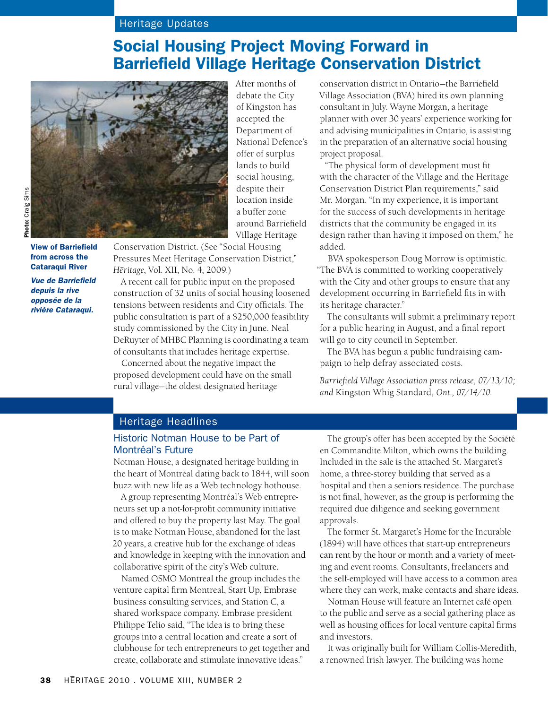# Heritage Updates

# Social Housing Project Moving Forward in Barriefield Village Heritage Conservation District



View of Barriefield from across the Cataraqui River

*Vue de Barriefield depuis la rive opposée de la rivière Cataraqui.*

After months of debate the City of Kingston has accepted the Department of National Defence's offer of surplus lands to build social housing, despite their location inside a buffer zone around Barriefield Village Heritage

Conservation District. (See "Social Housing Pressures Meet Heritage Conservation District," *He–ritage*, Vol. XII, No. 4, 2009.)

A recent call for public input on the proposed construction of 32 units of social housing loosened tensions between residents and City officials. The public consultation is part of a \$250,000 feasibility study commissioned by the City in June. Neal DeRuyter of MHBC Planning is coordinating a team of consultants that includes heritage expertise.

Concerned about the negative impact the proposed development could have on the small rural village—the oldest designated heritage

conservation district in Ontario—the Barriefield Village Association (BVA) hired its own planning consultant in July. Wayne Morgan, a heritage planner with over 30 years' experience working for and advising municipalities in Ontario, is assisting in the preparation of an alternative social housing project proposal.

"The physical form of development must fit with the character of the Village and the Heritage Conservation District Plan requirements," said Mr. Morgan. "In my experience, it is important for the success of such developments in heritage districts that the community be engaged in its design rather than having it imposed on them," he added.

BVA spokesperson Doug Morrow is optimistic. "The BVA is committed to working cooperatively with the City and other groups to ensure that any development occurring in Barriefield fits in with its heritage character."

The consultants will submit a preliminary report for a public hearing in August, and a final report will go to city council in September.

The BVA has begun a public fundraising campaign to help defray associated costs.

*Barriefield Village Association press release, 07/13/10; and* Kingston Whig Standard*, Ont., 07/14/10.*

#### Heritage Headlines

#### Historic Notman House to be Part of Montréal's Future

Notman House, a designated heritage building in the heart of Montréal dating back to 1844, will soon buzz with new life as a Web technology hothouse.

A group representing Montréal's Web entrepreneurs set up a not-for-profit community initiative and offered to buy the property last May. The goal is to make Notman House, abandoned for the last 20 years, a creative hub for the exchange of ideas and knowledge in keeping with the innovation and collaborative spirit of the city's Web culture.

Named OSMO Montreal the group includes the venture capital firm Montreal, Start Up, Embrase business consulting services, and Station C, a shared workspace company. Embrase president Philippe Telio said, "The idea is to bring these groups into a central location and create a sort of clubhouse for tech entrepreneurs to get together and create, collaborate and stimulate innovative ideas."

The group's offer has been accepted by the Société en Commandite Milton, which owns the building. Included in the sale is the attached St. Margaret's home, a three-storey building that served as a hospital and then a seniors residence. The purchase is not final, however, as the group is performing the required due diligence and seeking government approvals.

The former St. Margaret's Home for the Incurable (1894) will have offices that start-up entrepreneurs can rent by the hour or month and a variety of meeting and event rooms. Consultants, freelancers and the self-employed will have access to a common area where they can work, make contacts and share ideas.

Notman House will feature an Internet café open to the public and serve as a social gathering place as well as housing offices for local venture capital firms and investors.

It was originally built for William Collis-Meredith, a renowned Irish lawyer. The building was home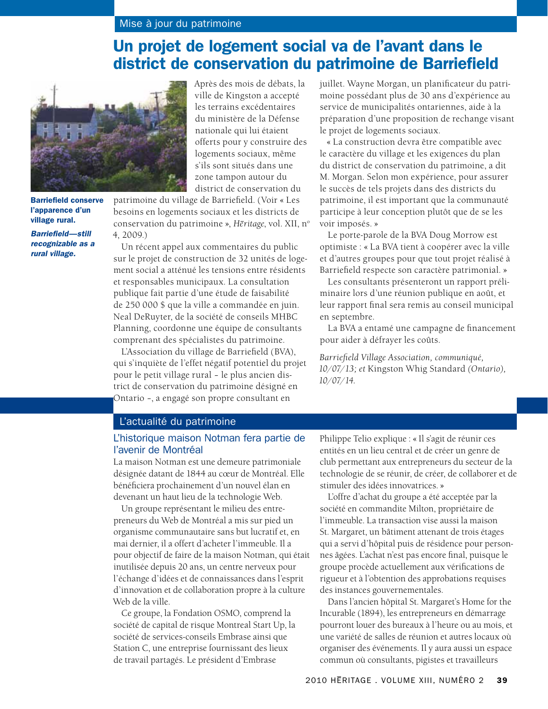# Un projet de logement social va de l'avant dans le district de conservation du patrimoine de Barriefield



Barriefield conserve l'apparence d'un village rural. *Barriefield—still* 

*recognizable as a rural village.*

Après des mois de débats, la ville de Kingston a accepté les terrains excédentaires du ministère de la Défense nationale qui lui étaient offerts pour y construire des logements sociaux, même s'ils sont situés dans une zone tampon autour du district de conservation du

patrimoine du village de Barriefield. (Voir « Les besoins en logements sociaux et les districts de conservation du patrimoine », *Hēritage*, vol. XII, n<sup>o</sup> 4, 2009.)

Un récent appel aux commentaires du public sur le projet de construction de 32 unités de logement social a atténué les tensions entre résidents et responsables municipaux. La consultation publique fait partie d'une étude de faisabilité de 250 000 \$ que la ville a commandée en juin. Neal DeRuyter, de la société de conseils MHBC Planning, coordonne une équipe de consultants comprenant des spécialistes du patrimoine.

L'Association du village de Barriefield (BVA), qui s'inquiète de l'effet négatif potentiel du projet pour le petit village rural – le plus ancien district de conservation du patrimoine désigné en Ontario –, a engagé son propre consultant en

juillet. Wayne Morgan, un planificateur du patrimoine possédant plus de 30 ans d'expérience au service de municipalités ontariennes, aide à la préparation d'une proposition de rechange visant le projet de logements sociaux.

« La construction devra être compatible avec le caractère du village et les exigences du plan du district de conservation du patrimoine, a dit M. Morgan. Selon mon expérience, pour assurer le succès de tels projets dans des districts du patrimoine, il est important que la communauté participe à leur conception plutôt que de se les voir imposés. »

Le porte-parole de la BVA Doug Morrow est optimiste : « La BVA tient à coopérer avec la ville et d'autres groupes pour que tout projet réalisé à Barriefield respecte son caractère patrimonial. »

Les consultants présenteront un rapport préliminaire lors d'une réunion publique en août, et leur rapport final sera remis au conseil municipal en septembre.

La BVA a entamé une campagne de financement pour aider à défrayer les coûts.

*Barriefield Village Association, communiqué, 10/07/13; et* Kingston Whig Standard *(Ontario), 10/07/14.*

#### L'actualité du patrimoine

### L'historique maison Notman fera partie de l'avenir de Montréal

La maison Notman est une demeure patrimoniale désignée datant de 1844 au cœur de Montréal. Elle bénéficiera prochainement d'un nouvel élan en devenant un haut lieu de la technologie Web.

Un groupe représentant le milieu des entrepreneurs du Web de Montréal a mis sur pied un organisme communautaire sans but lucratif et, en mai dernier, il a offert d'acheter l'immeuble. Il a pour objectif de faire de la maison Notman, qui était inutilisée depuis 20 ans, un centre nerveux pour l'échange d'idées et de connaissances dans l'esprit d'innovation et de collaboration propre à la culture Web de la ville.

Ce groupe, la Fondation OSMO, comprend la société de capital de risque Montreal Start Up, la société de services-conseils Embrase ainsi que Station C, une entreprise fournissant des lieux de travail partagés. Le président d'Embrase

Philippe Telio explique : « Il s'agit de réunir ces entités en un lieu central et de créer un genre de club permettant aux entrepreneurs du secteur de la technologie de se réunir, de créer, de collaborer et de stimuler des idées innovatrices. »

L'offre d'achat du groupe a été acceptée par la société en commandite Milton, propriétaire de l'immeuble. La transaction vise aussi la maison St. Margaret, un bâtiment attenant de trois étages qui a servi d'hôpital puis de résidence pour personnes âgées. L'achat n'est pas encore final, puisque le groupe procède actuellement aux vérifications de rigueur et à l'obtention des approbations requises des instances gouvernementales.

Dans l'ancien hôpital St. Margaret's Home for the Incurable (1894), les entrepreneurs en démarrage pourront louer des bureaux à l'heure ou au mois, et une variété de salles de réunion et autres locaux où organiser des événements. Il y aura aussi un espace commun où consultants, pigistes et travailleurs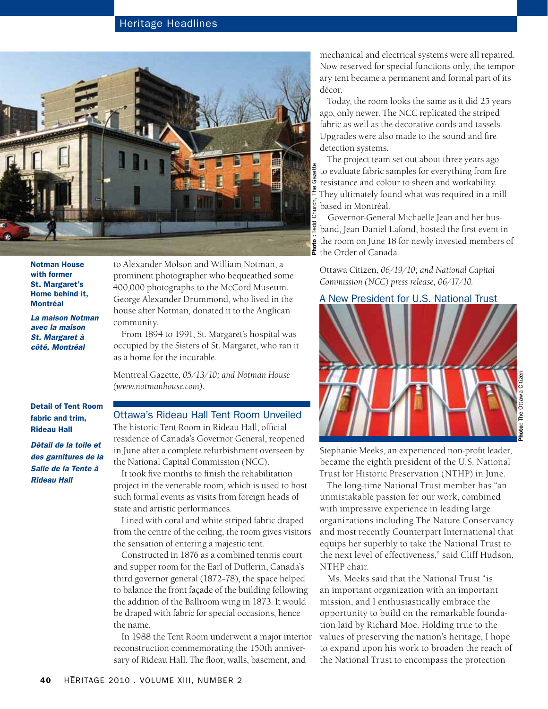## Heritage Headlines



Notman House with former St. Margaret's Home behind it, Montréal

*La maison Notman avec la maison St. Margaret à côté, Montréal*

to Alexander Molson and William Notman, a prominent photographer who bequeathed some 400,000 photographs to the McCord Museum. George Alexander Drummond, who lived in the house after Notman, donated it to the Anglican community.

From 1894 to 1991, St. Margaret's hospital was occupied by the Sisters of St. Margaret, who ran it as a home for the incurable.

Montreal Gazette, *05/13/10; and Notman House (www.notmanhouse.com).*

Detail of Tent Room fabric and trim, Rideau Hall

*Détail de la toile et des garnitures de la Salle de la Tente à Rideau Hall*

# Ottawa's Rideau Hall Tent Room Unveiled

The historic Tent Room in Rideau Hall, official residence of Canada's Governor General, reopened in June after a complete refurbishment overseen by the National Capital Commission (NCC).

It took five months to finish the rehabilitation project in the venerable room, which is used to host such formal events as visits from foreign heads of state and artistic performances.

Lined with coral and white striped fabric draped from the centre of the ceiling, the room gives visitors the sensation of entering a majestic tent.

Constructed in 1876 as a combined tennis court and supper room for the Earl of Dufferin, Canada's third governor general (1872–78), the space helped to balance the front façade of the building following the addition of the Ballroom wing in 1873. It would be draped with fabric for special occasions, hence the name.

In 1988 the Tent Room underwent a major interior reconstruction commemorating the 150th anniversary of Rideau Hall. The floor, walls, basement, and

mechanical and electrical systems were all repaired. Now reserved for special functions only, the temporary tent became a permanent and formal part of its décor.

Today, the room looks the same as it did 25 years ago, only newer. The NCC replicated the striped fabric as well as the decorative cords and tassels. Upgrades were also made to the sound and fire detection systems.

The project team set out about three years ago to evaluate fabric samples for everything from fire resistance and colour to sheen and workability. They ultimately found what was required in a mill based in Montréal.

Governor-General Michaëlle Jean and her husband, Jean-Daniel Lafond, hosted the first event in the room on June 18 for newly invested members of  $\mathbf{f}$  the Order of Canada.

Ottawa Citizen, *06/19/10; and National Capital Commission (NCC) press release, 06/17/10.* 

#### A New President for U.S. National Trust



Photo: The Ottawa Citizen

Stephanie Meeks, an experienced non-profit leader, became the eighth president of the U.S. National Trust for Historic Preservation (NTHP) in June.

The long-time National Trust member has "an unmistakable passion for our work, combined with impressive experience in leading large organizations including The Nature Conservancy and most recently Counterpart International that equips her superbly to take the National Trust to the next level of effectiveness," said Cliff Hudson, NTHP chair.

Ms. Meeks said that the National Trust "is an important organization with an important mission, and I enthusiastically embrace the opportunity to build on the remarkable foundation laid by Richard Moe. Holding true to the values of preserving the nation's heritage, I hope to expand upon his work to broaden the reach of the National Trust to encompass the protection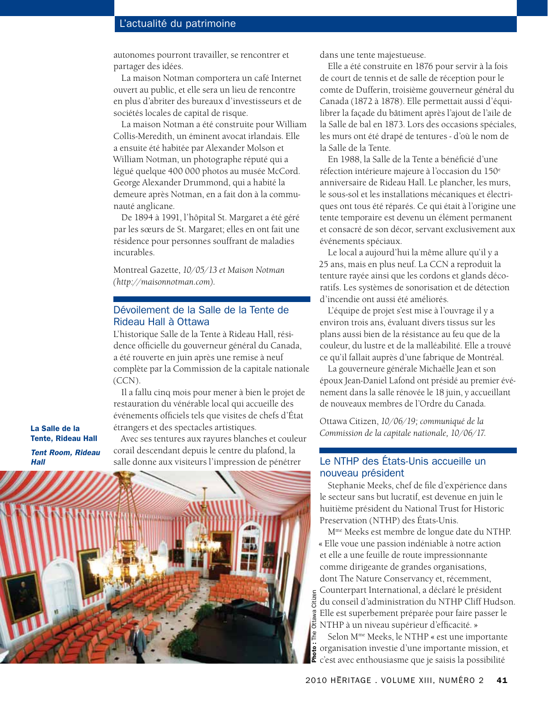#### L'actualité du patrimoine

autonomes pourront travailler, se rencontrer et partager des idées.

La maison Notman comportera un café Internet ouvert au public, et elle sera un lieu de rencontre en plus d'abriter des bureaux d'investisseurs et de sociétés locales de capital de risque.

La maison Notman a été construite pour William Collis-Meredith, un éminent avocat irlandais. Elle a ensuite été habitée par Alexander Molson et William Notman, un photographe réputé qui a légué quelque 400 000 photos au musée McCord. George Alexander Drummond, qui a habité la demeure après Notman, en a fait don à la communauté anglicane.

De 1894 à 1991, l'hôpital St. Margaret a été géré par les sœurs de St. Margaret; elles en ont fait une résidence pour personnes souffrant de maladies incurables.

Montreal Gazette, *10/05/13 et Maison Notman (http://maisonnotman.com).* 

#### Dévoilement de la Salle de la Tente de Rideau Hall à Ottawa

L'historique Salle de la Tente à Rideau Hall, résidence officielle du gouverneur général du Canada, a été rouverte en juin après une remise à neuf complète par la Commission de la capitale nationale (CCN).

Il a fallu cinq mois pour mener à bien le projet de restauration du vénérable local qui accueille des événements officiels tels que visites de chefs d'État étrangers et des spectacles artistiques.

Avec ses tentures aux rayures blanches et couleur corail descendant depuis le centre du plafond, la

La Salle de la Tente, Rideau Hall

*Tent Room, Rideau Hall*



dans une tente majestueuse.

Elle a été construite en 1876 pour servir à la fois de court de tennis et de salle de réception pour le comte de Dufferin, troisième gouverneur général du Canada (1872 à 1878). Elle permettait aussi d'équilibrer la façade du bâtiment après l'ajout de l'aile de la Salle de bal en 1873. Lors des occasions spéciales, les murs ont été drapé de tentures - d'où le nom de la Salle de la Tente.

En 1988, la Salle de la Tente a bénéficié d'une réfection intérieure majeure à l'occasion du 150<sup>e</sup> anniversaire de Rideau Hall. Le plancher, les murs, le sous-sol et les installations mécaniques et électriques ont tous été réparés. Ce qui était à l'origine une tente temporaire est devenu un élément permanent et consacré de son décor, servant exclusivement aux événements spéciaux.

Le local a aujourd'hui la même allure qu'il y a 25 ans, mais en plus neuf. La CCN a reproduit la tenture rayée ainsi que les cordons et glands décoratifs. Les systèmes de sonorisation et de détection d'incendie ont aussi été améliorés.

L'équipe de projet s'est mise à l'ouvrage il y a environ trois ans, évaluant divers tissus sur les plans aussi bien de la résistance au feu que de la couleur, du lustre et de la malléabilité. Elle a trouvé ce qu'il fallait auprès d'une fabrique de Montréal.

La gouverneure générale Michaëlle Jean et son époux Jean-Daniel Lafond ont présidé au premier événement dans la salle rénovée le 18 juin, y accueillant de nouveaux membres de l'Ordre du Canada.

Ottawa Citizen, *10/06/19; communiqué de la Commission de la capitale nationale, 10/06/17.*

#### Le NTHP des États-Unis accueille un nouveau président

Stephanie Meeks, chef de file d'expérience dans le secteur sans but lucratif, est devenue en juin le huitième président du National Trust for Historic Preservation (NTHP) des États-Unis.

Mme Meeks est membre de longue date du NTHP. « Elle voue une passion indéniable à notre action et elle a une feuille de route impressionnante comme dirigeante de grandes organisations,

dont The Nature Conservancy et, récemment, Counterpart International, a déclaré le président du conseil d'administration du NTHP Cliff Hudson. Elle est superbement préparée pour faire passer le Elle est superbement préparée pour faire p<br>B NTHP à un niveau supérieur d'efficacité. »

Selon Mme Meeks, le NTHP « est une importante organisation investie d'une importante mission, et Photo : c'est avec enthousiasme que je saisis la possibilité The Ottawa Citizen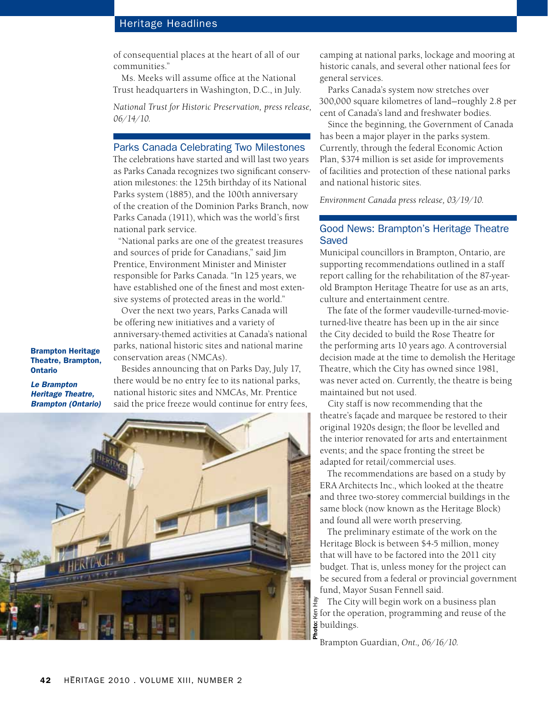## Heritage Headlines

of consequential places at the heart of all of our communities."

Ms. Meeks will assume office at the National Trust headquarters in Washington, D.C., in July.

*National Trust for Historic Preservation, press release, 06/14/10.*

#### Parks Canada Celebrating Two Milestones

The celebrations have started and will last two years as Parks Canada recognizes two significant conservation milestones: the 125th birthday of its National Parks system (1885), and the 100th anniversary of the creation of the Dominion Parks Branch, now Parks Canada (1911), which was the world's first national park service.

"National parks are one of the greatest treasures and sources of pride for Canadians," said Jim Prentice, Environment Minister and Minister responsible for Parks Canada. "In 125 years, we have established one of the finest and most extensive systems of protected areas in the world."

Over the next two years, Parks Canada will be offering new initiatives and a variety of anniversary-themed activities at Canada's national parks, national historic sites and national marine conservation areas (NMCAs).

Brampton Heritage Theatre, Brampton, Ontario

*Le Brampton Heritage Theatre, Brampton (Ontario)*

Besides announcing that on Parks Day, July 17, there would be no entry fee to its national parks, national historic sites and NMCAs, Mr. Prentice said the price freeze would continue for entry fees,



camping at national parks, lockage and mooring at historic canals, and several other national fees for general services.

Parks Canada's system now stretches over 300,000 square kilometres of land—roughly 2.8 per cent of Canada's land and freshwater bodies.

Since the beginning, the Government of Canada has been a major player in the parks system. Currently, through the federal Economic Action Plan, \$374 million is set aside for improvements of facilities and protection of these national parks and national historic sites.

*Environment Canada press release, 03/19/10.*

### Good News: Brampton's Heritage Theatre Saved

Municipal councillors in Brampton, Ontario, are supporting recommendations outlined in a staff report calling for the rehabilitation of the 87-yearold Brampton Heritage Theatre for use as an arts, culture and entertainment centre.

The fate of the former vaudeville-turned-movieturned-live theatre has been up in the air since the City decided to build the Rose Theatre for the performing arts 10 years ago. A controversial decision made at the time to demolish the Heritage Theatre, which the City has owned since 1981, was never acted on. Currently, the theatre is being maintained but not used.

City staff is now recommending that the theatre's façade and marquee be restored to their original 1920s design; the floor be levelled and the interior renovated for arts and entertainment events; and the space fronting the street be adapted for retail/commercial uses.

The recommendations are based on a study by ERA Architects Inc., which looked at the theatre and three two-storey commercial buildings in the same block (now known as the Heritage Block) and found all were worth preserving.

The preliminary estimate of the work on the Heritage Block is between \$4-5 million, money that will have to be factored into the 2011 city budget. That is, unless money for the project can be secured from a federal or provincial government fund, Mayor Susan Fennell said.

Photo: Ken Hay The City will begin work on a business plan for the operation, programming and reuse of the  $\frac{3}{5}$  buildings.

Brampton Guardian, *Ont., 06/16/10.*